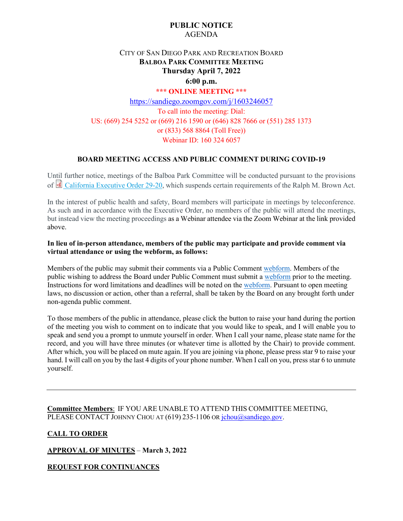## **PUBLIC NOTICE** AGENDA

# CITY OF SAN DIEGO PARK AND RECREATION BOARD **BALBOA PARK COMMITTEE MEETING Thursday April 7, 2022 6:00 p.m.**

### **\*\*\* ONLINE MEETING \*\*\***

<https://sandiego.zoomgov.com/j/1603246057> To call into the meeting: Dial: US: (669) 254 5252 or (669) 216 1590 or (646) 828 7666 or (551) 285 1373 or (833) 568 8864 (Toll Free)) Webinar ID: 160 324 6057

## **BOARD MEETING ACCESS AND PUBLIC COMMENT DURING COVID-19**

Until further notice, meetings of the Balboa Park Committee will be conducted pursuant to the provisions of [California Executive Order 29-20,](http://www.gov.ca.gov/wp-content/uploads/2020/03/3.17.20-N-29-20-EO.pdf) which suspends certain requirements of the Ralph M. Brown Act.

In the interest of public health and safety, Board members will participate in meetings by teleconference. As such and in accordance with the Executive Order, no members of the public will attend the meetings, but instead view the meeting proceedings as a Webinar attendee via the Zoom Webinar at the link provided above.

### **In lieu of in-person attendance, members of the public may participate and provide comment via virtual attendance or using the webform, as follows:**

Members of the public may submit their comments via a Public Commen[t webform.](https://www.sandiego.gov/boards-and-commissions/public-comment) Members of the public wishing to address the Board under Public Comment must submit a [webform](https://www.sandiego.gov/boards-and-commissions/public-comment) prior to the meeting. Instructions for word limitations and deadlines will be noted on the [webform.](https://www.sandiego.gov/boards-and-commissions/public-comment) Pursuant to open meeting laws, no discussion or action, other than a referral, shall be taken by the Board on any brought forth under non-agenda public comment.

To those members of the public in attendance, please click the button to raise your hand during the portion of the meeting you wish to comment on to indicate that you would like to speak, and I will enable you to speak and send you a prompt to unmute yourself in order. When I call your name, please state name for the record, and you will have three minutes (or whatever time is allotted by the Chair) to provide comment. After which, you will be placed on mute again. If you are joining via phone, please press star 9 to raise your hand. I will call on you by the last 4 digits of your phone number. When I call on you, press star 6 to unmute yourself.

**Committee Members**: IF YOU ARE UNABLE TO ATTEND THIS COMMITTEE MEETING, PLEASE CONTACT JOHNNY CHOU AT (619) 235-1106 OR [jchou@sandiego.gov.](mailto:jchou@sandiego.gov)

## **CALL TO ORDER**

**APPROVAL OF MINUTES** – **March 3, 2022**

**REQUEST FOR CONTINUANCES**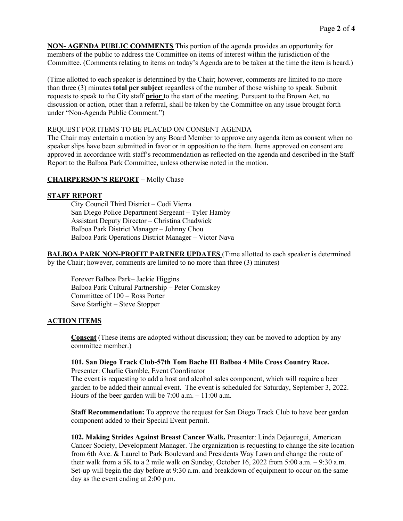**NON- AGENDA PUBLIC COMMENTS** This portion of the agenda provides an opportunity for members of the public to address the Committee on items of interest within the jurisdiction of the Committee. (Comments relating to items on today's Agenda are to be taken at the time the item is heard.)

(Time allotted to each speaker is determined by the Chair; however, comments are limited to no more than three (3) minutes **total per subject** regardless of the number of those wishing to speak. Submit requests to speak to the City staff **prior** to the start of the meeting. Pursuant to the Brown Act, no discussion or action, other than a referral, shall be taken by the Committee on any issue brought forth under "Non-Agenda Public Comment.")

### REQUEST FOR ITEMS TO BE PLACED ON CONSENT AGENDA

The Chair may entertain a motion by any Board Member to approve any agenda item as consent when no speaker slips have been submitted in favor or in opposition to the item. Items approved on consent are approved in accordance with staff's recommendation as reflected on the agenda and described in the Staff Report to the Balboa Park Committee, unless otherwise noted in the motion.

### **CHAIRPERSON'S REPORT** – Molly Chase

### **STAFF REPORT**

City Council Third District – Codi Vierra San Diego Police Department Sergeant – Tyler Hamby Assistant Deputy Director – Christina Chadwick Balboa Park District Manager – Johnny Chou Balboa Park Operations District Manager – Victor Nava

**BALBOA PARK NON-PROFIT PARTNER UPDATES** (Time allotted to each speaker is determined by the Chair; however, comments are limited to no more than three (3) minutes)

Forever Balboa Park– Jackie Higgins Balboa Park Cultural Partnership – Peter Comiskey Committee of 100 – Ross Porter Save Starlight – Steve Stopper

### **ACTION ITEMS**

**Consent** (These items are adopted without discussion; they can be moved to adoption by any committee member.)

#### **101. San Diego Track Club-57th Tom Bache III Balboa 4 Mile Cross Country Race.** Presenter: Charlie Gamble, Event Coordinator

The event is requesting to add a host and alcohol sales component, which will require a beer garden to be added their annual event. The event is scheduled for Saturday, September 3, 2022. Hours of the beer garden will be 7:00 a.m. – 11:00 a.m.

**Staff Recommendation:** To approve the request for San Diego Track Club to have beer garden component added to their Special Event permit.

**102. Making Strides Against Breast Cancer Walk.** Presenter: Linda Dejauregui, American Cancer Society, Development Manager. The organization is requesting to change the site location from 6th Ave. & Laurel to Park Boulevard and Presidents Way Lawn and change the route of their walk from a 5K to a 2 mile walk on Sunday, October 16, 2022 from 5:00 a.m. – 9:30 a.m. Set-up will begin the day before at 9:30 a.m. and breakdown of equipment to occur on the same day as the event ending at 2:00 p.m.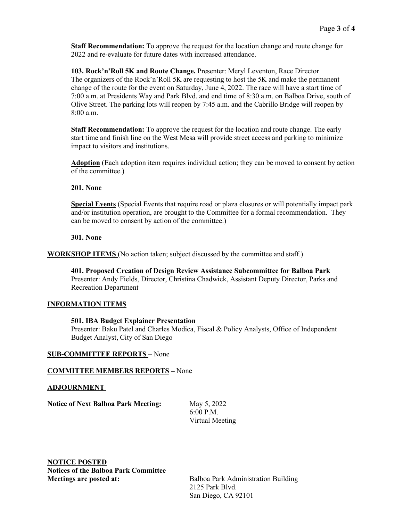**Staff Recommendation:** To approve the request for the location change and route change for 2022 and re-evaluate for future dates with increased attendance.

**103. Rock'n'Roll 5K and Route Change.** Presenter: Meryl Leventon, Race Director The organizers of the Rock'n'Roll 5K are requesting to host the 5K and make the permanent change of the route for the event on Saturday, June 4, 2022. The race will have a start time of 7:00 a.m. at Presidents Way and Park Blvd. and end time of 8:30 a.m. on Balboa Drive, south of Olive Street. The parking lots will reopen by 7:45 a.m. and the Cabrillo Bridge will reopen by 8:00 a.m.

**Staff Recommendation:** To approve the request for the location and route change. The early start time and finish line on the West Mesa will provide street access and parking to minimize impact to visitors and institutions.

**Adoption** (Each adoption item requires individual action; they can be moved to consent by action of the committee.)

### **201. None**

**Special Events** (Special Events that require road or plaza closures or will potentially impact park and/or institution operation, are brought to the Committee for a formal recommendation. They can be moved to consent by action of the committee.)

#### **301. None**

**WORKSHOP ITEMS** (No action taken; subject discussed by the committee and staff.)

**401. Proposed Creation of Design Review Assistance Subcommittee for Balboa Park** Presenter: Andy Fields, Director, Christina Chadwick, Assistant Deputy Director, Parks and Recreation Department

### **INFORMATION ITEMS**

### **501. IBA Budget Explainer Presentation**

Presenter: Baku Patel and Charles Modica, Fiscal & Policy Analysts, Office of Independent Budget Analyst, City of San Diego

### **SUB-COMMITTEE REPORTS –** None

#### **COMMITTEE MEMBERS REPORTS –** None

### **ADJOURNMENT**

**Notice of Next Balboa Park Meeting:** May 5, 2022

6:00 P.M. Virtual Meeting

**NOTICE POSTED Notices of the Balboa Park Committee Meetings are posted at:** Balboa Park Administration Building

2125 Park Blvd. San Diego, CA 92101